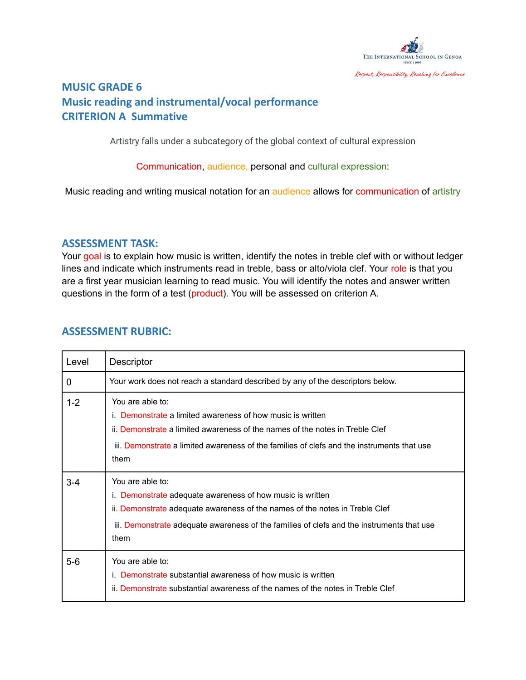

## **MUSIC GRADE 6 Music reading and instrumental/vocal performance CRITERION A Summative**

Artistry falls under a subcategory of the global context of cultural expression

Communication, audience, personal and cultural expression:

Music reading and writing musical notation for an audience allows for communication of artistry

## **ASSESSMENT TASK:**

Your goal is to explain how music is written, identify the notes in treble clef with or without ledger lines and indicate which instruments read in treble, bass or alto/viola clef. Your role is that you are a first year musician learning to read music. You will identify the notes and answer written questions in the form of a test (product). You will be assessed on criterion A.

## **ASSESSMENT RUBRIC:**

| Level   | Descriptor                                                                                                                                                                                                                                                           |
|---------|----------------------------------------------------------------------------------------------------------------------------------------------------------------------------------------------------------------------------------------------------------------------|
| 0       | Your work does not reach a standard described by any of the descriptors below.                                                                                                                                                                                       |
| $1 - 2$ | You are able to:<br>i. Demonstrate a limited awareness of how music is written<br>ii. Demonstrate a limited awareness of the names of the notes in Treble Clef<br>iii. Demonstrate a limited awareness of the families of clefs and the instruments that use<br>them |
| $3 - 4$ | You are able to:<br>i. Demonstrate adequate awareness of how music is written<br>ii. Demonstrate adequate awareness of the names of the notes in Treble Clef<br>iii. Demonstrate adequate awareness of the families of clefs and the instruments that use<br>them    |
| $5-6$   | You are able to:<br>i. Demonstrate substantial awareness of how music is written<br>ii. Demonstrate substantial awareness of the names of the notes in Treble Clef                                                                                                   |